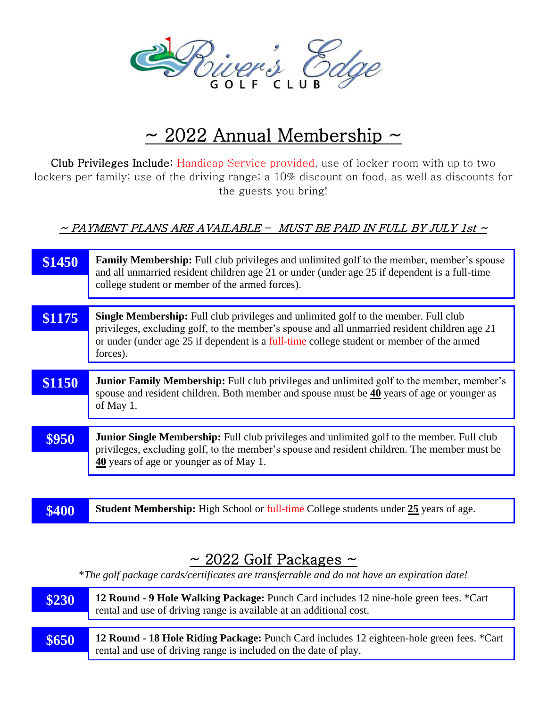

## $\sim$  2022 Annual Membership  $\sim$

Club Privileges Include: Handicap Service provided, use of locker room with up to two lockers per family; use of the driving range; a 10% discount on food, as well as discounts for the guests you bring!

## $\sim$  PAYMENT PLANS ARE AVAILABLE – MUST BE PAID IN FULL BY JULY 1st  $\sim$

| \$1450 | <b>Family Membership:</b> Full club privileges and unlimited golf to the member, member's spouse<br>and all unmarried resident children age 21 or under (under age 25 if dependent is a full-time<br>college student or member of the armed forces).                                          |
|--------|-----------------------------------------------------------------------------------------------------------------------------------------------------------------------------------------------------------------------------------------------------------------------------------------------|
|        |                                                                                                                                                                                                                                                                                               |
| \$1175 | Single Membership: Full club privileges and unlimited golf to the member. Full club<br>privileges, excluding golf, to the member's spouse and all unmarried resident children age 21<br>or under (under age 25 if dependent is a full-time college student or member of the armed<br>forces). |
|        |                                                                                                                                                                                                                                                                                               |
| \$1150 | <b>Junior Family Membership:</b> Full club privileges and unlimited golf to the member, member's<br>spouse and resident children. Both member and spouse must be 40 years of age or younger as<br>of May 1.                                                                                   |
|        |                                                                                                                                                                                                                                                                                               |
| \$950  | <b>Junior Single Membership:</b> Full club privileges and unlimited golf to the member. Full club<br>privileges, excluding golf, to the member's spouse and resident children. The member must be                                                                                             |
|        |                                                                                                                                                                                                                                                                                               |
|        | 40 years of age or younger as of May 1.                                                                                                                                                                                                                                                       |

| \$400 | <b>Student Membership:</b> High School or $full$ -time College students under $25$ years of age. |
|-------|--------------------------------------------------------------------------------------------------|
|-------|--------------------------------------------------------------------------------------------------|

## $\sim$  2022 Golf Packages  $\sim$

\**The golf package cards/certificates are transferrable and do not have an expiration date!*

| \$230 | 12 Round - 9 Hole Walking Package: Punch Card includes 12 nine-hole green fees. *Cart<br>rental and use of driving range is available at an additional cost.  |  |  |  |  |  |
|-------|---------------------------------------------------------------------------------------------------------------------------------------------------------------|--|--|--|--|--|
|       |                                                                                                                                                               |  |  |  |  |  |
| \$650 | 12 Round - 18 Hole Riding Package: Punch Card includes 12 eighteen-hole green fees. *Cart<br>rental and use of driving range is included on the date of play. |  |  |  |  |  |